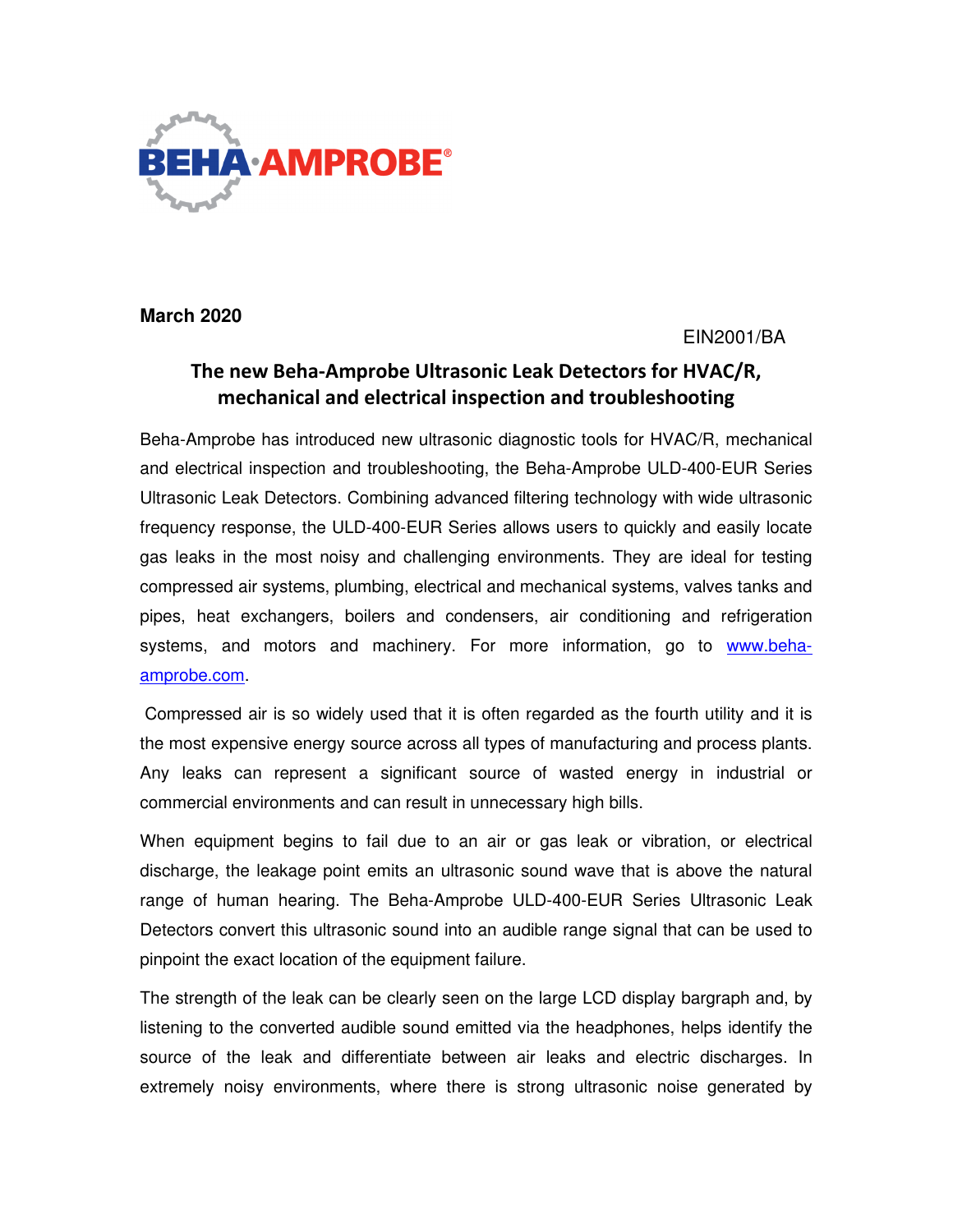

**March 2020** 

# EIN2001/BA

# The new Beha-Amprobe Ultrasonic Leak Detectors for HVAC/R, mechanical and electrical inspection and troubleshooting

Beha-Amprobe has introduced new ultrasonic diagnostic tools for HVAC/R, mechanical and electrical inspection and troubleshooting, the Beha-Amprobe ULD-400-EUR Series Ultrasonic Leak Detectors. Combining advanced filtering technology with wide ultrasonic frequency response, the ULD-400-EUR Series allows users to quickly and easily locate gas leaks in the most noisy and challenging environments. They are ideal for testing compressed air systems, plumbing, electrical and mechanical systems, valves tanks and pipes, heat exchangers, boilers and condensers, air conditioning and refrigeration systems, and motors and machinery. For more information, go to www.behaamprobe.com.

 Compressed air is so widely used that it is often regarded as the fourth utility and it is the most expensive energy source across all types of manufacturing and process plants. Any leaks can represent a significant source of wasted energy in industrial or commercial environments and can result in unnecessary high bills.

When equipment begins to fail due to an air or gas leak or vibration, or electrical discharge, the leakage point emits an ultrasonic sound wave that is above the natural range of human hearing. The Beha-Amprobe ULD-400-EUR Series Ultrasonic Leak Detectors convert this ultrasonic sound into an audible range signal that can be used to pinpoint the exact location of the equipment failure.

The strength of the leak can be clearly seen on the large LCD display bargraph and, by listening to the converted audible sound emitted via the headphones, helps identify the source of the leak and differentiate between air leaks and electric discharges. In extremely noisy environments, where there is strong ultrasonic noise generated by